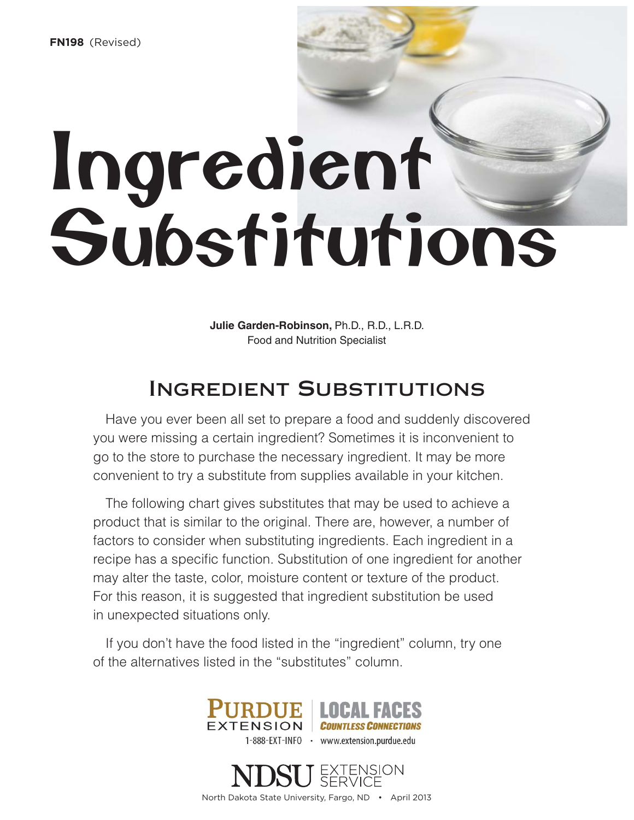# Ingredient Substitutions

Ingredient Amount Substitutes and the Contract of Substitutes and Substitutes and Substitutes and Substitutes and

**Julie Garden-Robinson,** Ph.D., R.D., L.R.D. Food and Nutrition Specialist

## Ingredient Substitutions

Have you ever been all set to prepare a food and suddenly discovered you were missing a certain ingredient? Sometimes it is inconvenient to go to the store to purchase the necessary ingredient. It may be more convenient to try a substitute from supplies available in your kitchen.

The following chart gives substitutes that may be used to achieve a product that is similar to the original. There are, however, a number of factors to consider when substituting ingredients. Each ingredient in a recipe has a specific function. Substitution of one ingredient for another may alter the taste, color, moisture content or texture of the product. For this reason, it is suggested that ingredient substitution be used in unexpected situations only.

If you don't have the food listed in the "ingredient" column, try one of the alternatives listed in the "substitutes" column.



North Dakota State University, Fargo, ND • April 2013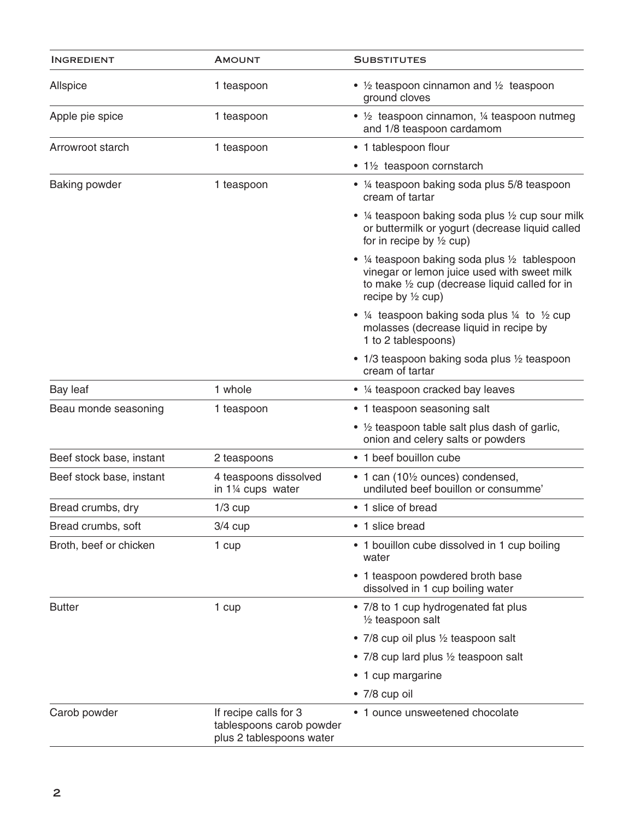| <b>INGREDIENT</b>        | <b>AMOUNT</b>                                                                 | <b>SUBSTITUTES</b>                                                                                                                                                              |
|--------------------------|-------------------------------------------------------------------------------|---------------------------------------------------------------------------------------------------------------------------------------------------------------------------------|
| Allspice                 | 1 teaspoon                                                                    | • $\frac{1}{2}$ teaspoon cinnamon and $\frac{1}{2}$ teaspoon<br>ground cloves                                                                                                   |
| Apple pie spice          | 1 teaspoon                                                                    | • 1/2 teaspoon cinnamon, 1/4 teaspoon nutmeg<br>and 1/8 teaspoon cardamom                                                                                                       |
| Arrowroot starch         | 1 teaspoon                                                                    | • 1 tablespoon flour                                                                                                                                                            |
|                          |                                                                               | • 1½ teaspoon cornstarch                                                                                                                                                        |
| <b>Baking powder</b>     | 1 teaspoon                                                                    | • 1/4 teaspoon baking soda plus 5/8 teaspoon<br>cream of tartar                                                                                                                 |
|                          |                                                                               | • 1/4 teaspoon baking soda plus 1/2 cup sour milk<br>or buttermilk or yogurt (decrease liquid called<br>for in recipe by $\frac{1}{2}$ cup)                                     |
|                          |                                                                               | • 1/4 teaspoon baking soda plus 1/2 tablespoon<br>vinegar or lemon juice used with sweet milk<br>to make 1/2 cup (decrease liquid called for in<br>recipe by $\frac{1}{2}$ cup) |
|                          |                                                                               | • $\frac{1}{4}$ teaspoon baking soda plus $\frac{1}{4}$ to $\frac{1}{2}$ cup<br>molasses (decrease liquid in recipe by<br>1 to 2 tablespoons)                                   |
|                          |                                                                               | • 1/3 teaspoon baking soda plus 1/2 teaspoon<br>cream of tartar                                                                                                                 |
| Bay leaf                 | 1 whole                                                                       | • 1/4 teaspoon cracked bay leaves                                                                                                                                               |
| Beau monde seasoning     | 1 teaspoon                                                                    | • 1 teaspoon seasoning salt                                                                                                                                                     |
|                          |                                                                               | • 1/2 teaspoon table salt plus dash of garlic,<br>onion and celery salts or powders                                                                                             |
| Beef stock base, instant | 2 teaspoons                                                                   | • 1 beef bouillon cube                                                                                                                                                          |
| Beef stock base, instant | 4 teaspoons dissolved<br>in 1 <sup>1/4</sup> cups water                       | • 1 can (10 <sup>1</sup> / <sub>2</sub> ounces) condensed,<br>undiluted beef bouillon or consumme'                                                                              |
| Bread crumbs, dry        | $1/3$ cup                                                                     | • 1 slice of bread                                                                                                                                                              |
| Bread crumbs, soft       | $3/4$ cup                                                                     | • 1 slice bread                                                                                                                                                                 |
| Broth, beef or chicken   | 1 cup                                                                         | • 1 bouillon cube dissolved in 1 cup boiling<br>water                                                                                                                           |
|                          |                                                                               | • 1 teaspoon powdered broth base<br>dissolved in 1 cup boiling water                                                                                                            |
| <b>Butter</b>            | 1 cup                                                                         | • 7/8 to 1 cup hydrogenated fat plus<br>1/2 teaspoon salt                                                                                                                       |
|                          |                                                                               | • 7/8 cup oil plus 1/2 teaspoon salt                                                                                                                                            |
|                          |                                                                               | • 7/8 cup lard plus 1/2 teaspoon salt                                                                                                                                           |
|                          |                                                                               | • 1 cup margarine                                                                                                                                                               |
|                          |                                                                               | • 7/8 cup oil                                                                                                                                                                   |
| Carob powder             | If recipe calls for 3<br>tablespoons carob powder<br>plus 2 tablespoons water | • 1 ounce unsweetened chocolate                                                                                                                                                 |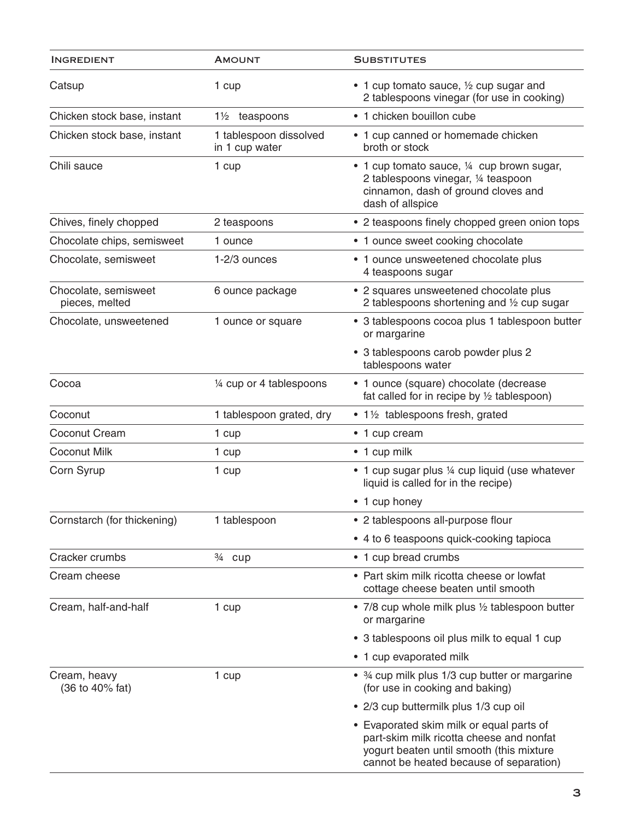| <b>INGREDIENT</b>                      | <b>AMOUNT</b>                            | <b>SUBSTITUTES</b>                                                                                                                                                          |
|----------------------------------------|------------------------------------------|-----------------------------------------------------------------------------------------------------------------------------------------------------------------------------|
| Catsup                                 | 1 cup                                    | • 1 cup tomato sauce, 1/2 cup sugar and<br>2 tablespoons vinegar (for use in cooking)                                                                                       |
| Chicken stock base, instant            | 1 <sup>1/2</sup> teaspoons               | • 1 chicken bouillon cube                                                                                                                                                   |
| Chicken stock base, instant            | 1 tablespoon dissolved<br>in 1 cup water | • 1 cup canned or homemade chicken<br>broth or stock                                                                                                                        |
| Chili sauce                            | 1 cup                                    | • 1 cup tomato sauce, 1/4 cup brown sugar,<br>2 tablespoons vinegar, 1/4 teaspoon<br>cinnamon, dash of ground cloves and<br>dash of allspice                                |
| Chives, finely chopped                 | 2 teaspoons                              | • 2 teaspoons finely chopped green onion tops                                                                                                                               |
| Chocolate chips, semisweet             | 1 ounce                                  | • 1 ounce sweet cooking chocolate                                                                                                                                           |
| Chocolate, semisweet                   | 1-2/3 ounces                             | • 1 ounce unsweetened chocolate plus<br>4 teaspoons sugar                                                                                                                   |
| Chocolate, semisweet<br>pieces, melted | 6 ounce package                          | • 2 squares unsweetened chocolate plus<br>2 tablespoons shortening and 1/2 cup sugar                                                                                        |
| Chocolate, unsweetened                 | 1 ounce or square                        | • 3 tablespoons cocoa plus 1 tablespoon butter<br>or margarine                                                                                                              |
|                                        |                                          | • 3 tablespoons carob powder plus 2<br>tablespoons water                                                                                                                    |
| Cocoa                                  | 1/4 cup or 4 tablespoons                 | • 1 ounce (square) chocolate (decrease<br>fat called for in recipe by $\frac{1}{2}$ tablespoon)                                                                             |
| Coconut                                | 1 tablespoon grated, dry                 | • 1½ tablespoons fresh, grated                                                                                                                                              |
| <b>Coconut Cream</b>                   | 1 cup                                    | • 1 cup cream                                                                                                                                                               |
| <b>Coconut Milk</b>                    | 1 cup                                    | • 1 cup milk                                                                                                                                                                |
| Corn Syrup                             | 1 cup                                    | • 1 cup sugar plus 1/4 cup liquid (use whatever<br>liquid is called for in the recipe)                                                                                      |
|                                        |                                          | • 1 cup honey                                                                                                                                                               |
| Cornstarch (for thickening)            | 1 tablespoon                             | • 2 tablespoons all-purpose flour                                                                                                                                           |
|                                        |                                          | • 4 to 6 teaspoons quick-cooking tapioca                                                                                                                                    |
| Cracker crumbs                         | <sup>3/4</sup> cup                       | • 1 cup bread crumbs                                                                                                                                                        |
| Cream cheese                           |                                          | • Part skim milk ricotta cheese or lowfat<br>cottage cheese beaten until smooth                                                                                             |
| Cream, half-and-half                   | 1 cup                                    | • 7/8 cup whole milk plus 1/2 tablespoon butter<br>or margarine                                                                                                             |
|                                        |                                          | • 3 tablespoons oil plus milk to equal 1 cup                                                                                                                                |
|                                        |                                          | • 1 cup evaporated milk                                                                                                                                                     |
| Cream, heavy<br>(36 to 40% fat)        | 1 cup                                    | • 3⁄4 cup milk plus 1/3 cup butter or margarine<br>(for use in cooking and baking)                                                                                          |
|                                        |                                          | • 2/3 cup buttermilk plus 1/3 cup oil                                                                                                                                       |
|                                        |                                          | • Evaporated skim milk or equal parts of<br>part-skim milk ricotta cheese and nonfat<br>yogurt beaten until smooth (this mixture<br>cannot be heated because of separation) |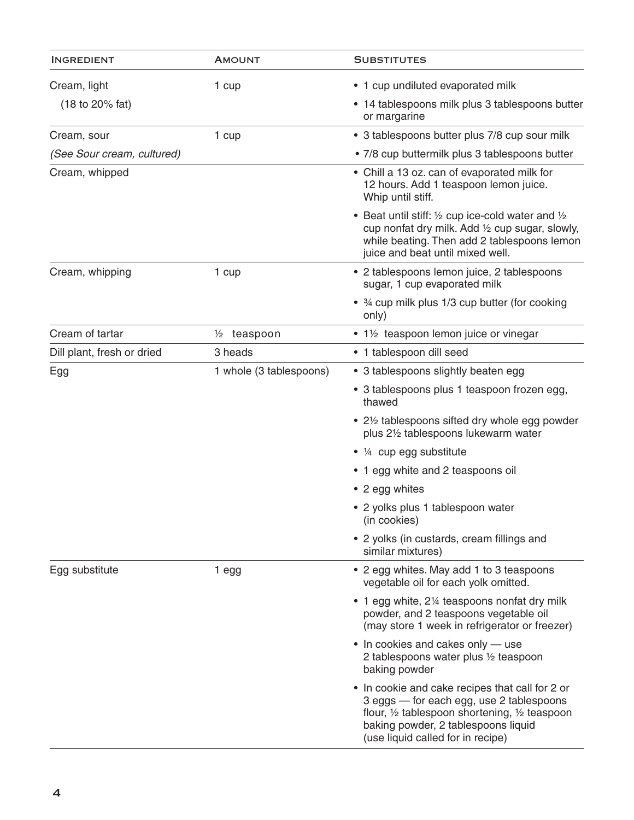| <b>INGREDIENT</b>                   | <b>AMOUNT</b>           | <b>SUBSTITUTES</b>                                                                                                                                                                                                                            |
|-------------------------------------|-------------------------|-----------------------------------------------------------------------------------------------------------------------------------------------------------------------------------------------------------------------------------------------|
| Cream, light                        | 1 cup                   | • 1 cup undiluted evaporated milk                                                                                                                                                                                                             |
| $(18 \text{ to } 20\% \text{ fat})$ |                         | • 14 tablespoons milk plus 3 tablespoons butter<br>or margarine                                                                                                                                                                               |
| Cream, sour                         | 1 cup                   | • 3 tablespoons butter plus 7/8 cup sour milk                                                                                                                                                                                                 |
| (See Sour cream, cultured)          |                         | • 7/8 cup buttermilk plus 3 tablespoons butter                                                                                                                                                                                                |
| Cream, whipped                      |                         | • Chill a 13 oz. can of evaporated milk for<br>12 hours. Add 1 teaspoon lemon juice.<br>Whip until stiff.                                                                                                                                     |
|                                     |                         | • Beat until stiff: $\frac{1}{2}$ cup ice-cold water and $\frac{1}{2}$<br>cup nonfat dry milk. Add 1/2 cup sugar, slowly,<br>while beating. Then add 2 tablespoons lemon<br>juice and beat until mixed well.                                  |
| Cream, whipping                     | 1 cup                   | • 2 tablespoons lemon juice, 2 tablespoons<br>sugar, 1 cup evaporated milk                                                                                                                                                                    |
|                                     |                         | • 3⁄4 cup milk plus 1/3 cup butter (for cooking<br>only)                                                                                                                                                                                      |
| Cream of tartar                     | $\frac{1}{2}$ teaspoon  | • 1½ teaspoon lemon juice or vinegar                                                                                                                                                                                                          |
| Dill plant, fresh or dried          | 3 heads                 | • 1 tablespoon dill seed                                                                                                                                                                                                                      |
| Egg                                 | 1 whole (3 tablespoons) | • 3 tablespoons slightly beaten egg                                                                                                                                                                                                           |
|                                     |                         | • 3 tablespoons plus 1 teaspoon frozen egg,<br>thawed                                                                                                                                                                                         |
|                                     |                         | • 21/2 tablespoons sifted dry whole egg powder<br>plus 21/2 tablespoons lukewarm water                                                                                                                                                        |
|                                     |                         | • 1/4 cup egg substitute                                                                                                                                                                                                                      |
|                                     |                         | • 1 egg white and 2 teaspoons oil                                                                                                                                                                                                             |
|                                     |                         | • 2 egg whites                                                                                                                                                                                                                                |
|                                     |                         | • 2 yolks plus 1 tablespoon water<br>(in cookies)                                                                                                                                                                                             |
|                                     |                         | • 2 yolks (in custards, cream fillings and<br>similar mixtures)                                                                                                                                                                               |
| Egg substitute                      | 1 egg                   | • 2 egg whites. May add 1 to 3 teaspoons<br>vegetable oil for each yolk omitted.                                                                                                                                                              |
|                                     |                         | • 1 egg white, 2¼ teaspoons nonfat dry milk<br>powder, and 2 teaspoons vegetable oil<br>(may store 1 week in refrigerator or freezer)                                                                                                         |
|                                     |                         | • In cookies and cakes only — use<br>2 tablespoons water plus 1/2 teaspoon<br>baking powder                                                                                                                                                   |
|                                     |                         | • In cookie and cake recipes that call for 2 or<br>3 eggs - for each egg, use 2 tablespoons<br>flour, $\frac{1}{2}$ tablespoon shortening, $\frac{1}{2}$ teaspoon<br>baking powder, 2 tablespoons liquid<br>(use liquid called for in recipe) |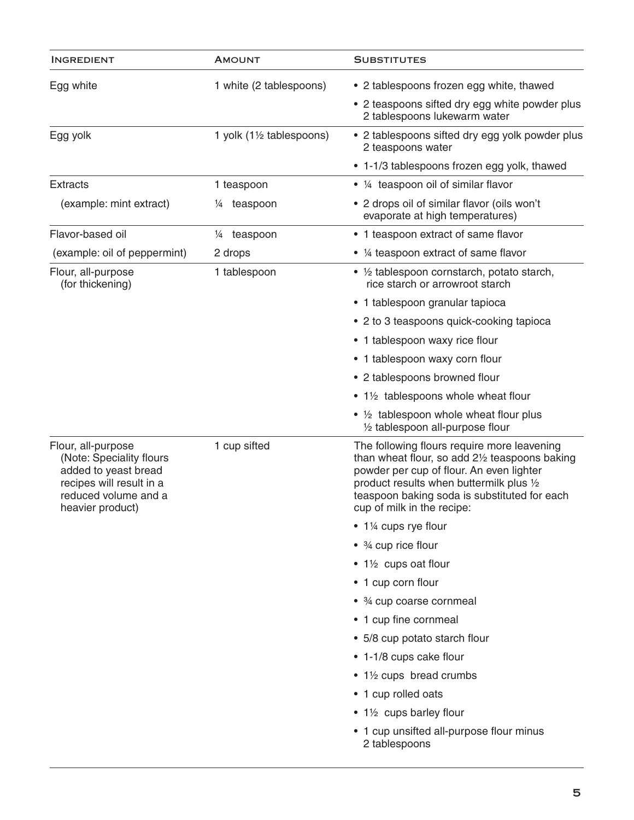| <b>INGREDIENT</b>                                                                                                                              | <b>AMOUNT</b>                       | <b>SUBSTITUTES</b>                                                                                                                                                                                                                                                  |
|------------------------------------------------------------------------------------------------------------------------------------------------|-------------------------------------|---------------------------------------------------------------------------------------------------------------------------------------------------------------------------------------------------------------------------------------------------------------------|
| Egg white                                                                                                                                      | 1 white (2 tablespoons)             | • 2 tablespoons frozen egg white, thawed                                                                                                                                                                                                                            |
|                                                                                                                                                |                                     | • 2 teaspoons sifted dry egg white powder plus<br>2 tablespoons lukewarm water                                                                                                                                                                                      |
| Egg yolk                                                                                                                                       | 1 yolk $(1\frac{1}{2}$ tablespoons) | • 2 tablespoons sifted dry egg yolk powder plus<br>2 teaspoons water                                                                                                                                                                                                |
|                                                                                                                                                |                                     | • 1-1/3 tablespoons frozen egg yolk, thawed                                                                                                                                                                                                                         |
| <b>Extracts</b>                                                                                                                                | 1 teaspoon                          | • 1/4 teaspoon oil of similar flavor                                                                                                                                                                                                                                |
| (example: mint extract)                                                                                                                        | teaspoon<br>¼                       | • 2 drops oil of similar flavor (oils won't<br>evaporate at high temperatures)                                                                                                                                                                                      |
| Flavor-based oil                                                                                                                               | teaspoon<br>$\frac{1}{4}$           | • 1 teaspoon extract of same flavor                                                                                                                                                                                                                                 |
| (example: oil of peppermint)                                                                                                                   | 2 drops                             | • 1/4 teaspoon extract of same flavor                                                                                                                                                                                                                               |
| Flour, all-purpose<br>(for thickening)                                                                                                         | 1 tablespoon                        | • 1/2 tablespoon cornstarch, potato starch,<br>rice starch or arrowroot starch                                                                                                                                                                                      |
|                                                                                                                                                |                                     | • 1 tablespoon granular tapioca                                                                                                                                                                                                                                     |
|                                                                                                                                                |                                     | • 2 to 3 teaspoons quick-cooking tapioca                                                                                                                                                                                                                            |
|                                                                                                                                                |                                     | • 1 tablespoon waxy rice flour                                                                                                                                                                                                                                      |
|                                                                                                                                                |                                     | • 1 tablespoon waxy corn flour                                                                                                                                                                                                                                      |
|                                                                                                                                                |                                     | • 2 tablespoons browned flour                                                                                                                                                                                                                                       |
|                                                                                                                                                |                                     | • 1½ tablespoons whole wheat flour                                                                                                                                                                                                                                  |
|                                                                                                                                                |                                     | • $\frac{1}{2}$ tablespoon whole wheat flour plus<br>1/2 tablespoon all-purpose flour                                                                                                                                                                               |
| Flour, all-purpose<br>(Note: Speciality flours<br>added to yeast bread<br>recipes will result in a<br>reduced volume and a<br>heavier product) | 1 cup sifted                        | The following flours require more leavening<br>than wheat flour, so add 21/2 teaspoons baking<br>powder per cup of flour. An even lighter<br>product results when buttermilk plus 1/2<br>teaspoon baking soda is substituted for each<br>cup of milk in the recipe: |
|                                                                                                                                                |                                     | • 1¼ cups rye flour                                                                                                                                                                                                                                                 |
|                                                                                                                                                |                                     | $\bullet$ 3/4 cup rice flour                                                                                                                                                                                                                                        |
|                                                                                                                                                |                                     | • 1½ cups oat flour                                                                                                                                                                                                                                                 |
|                                                                                                                                                |                                     | • 1 cup corn flour                                                                                                                                                                                                                                                  |
|                                                                                                                                                |                                     | • 3/4 cup coarse cornmeal                                                                                                                                                                                                                                           |
|                                                                                                                                                |                                     | • 1 cup fine cornmeal                                                                                                                                                                                                                                               |
|                                                                                                                                                |                                     | • 5/8 cup potato starch flour                                                                                                                                                                                                                                       |
|                                                                                                                                                |                                     | • 1-1/8 cups cake flour                                                                                                                                                                                                                                             |
|                                                                                                                                                |                                     | • 1½ cups bread crumbs                                                                                                                                                                                                                                              |
|                                                                                                                                                |                                     | • 1 cup rolled oats                                                                                                                                                                                                                                                 |
|                                                                                                                                                |                                     | • 1½ cups barley flour                                                                                                                                                                                                                                              |
|                                                                                                                                                |                                     | • 1 cup unsifted all-purpose flour minus<br>2 tablespoons                                                                                                                                                                                                           |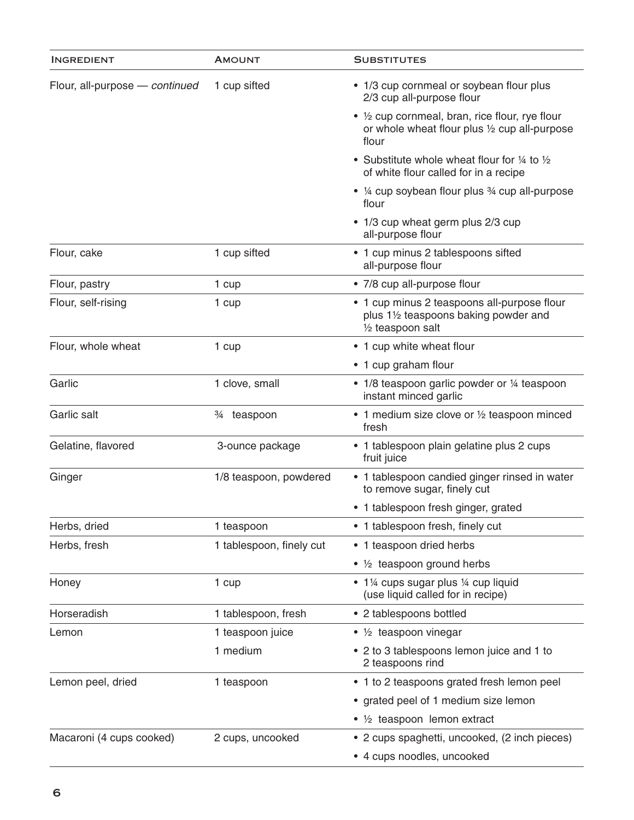| <b>INGREDIENT</b>              | <b>AMOUNT</b>                        | <b>SUBSTITUTES</b>                                                                                         |
|--------------------------------|--------------------------------------|------------------------------------------------------------------------------------------------------------|
| Flour, all-purpose - continued | 1 cup sifted                         | • 1/3 cup cornmeal or soybean flour plus<br>2/3 cup all-purpose flour                                      |
|                                |                                      | • 1/2 cup cornmeal, bran, rice flour, rye flour<br>or whole wheat flour plus 1/2 cup all-purpose<br>flour  |
|                                |                                      | • Substitute whole wheat flour for $\frac{1}{4}$ to $\frac{1}{2}$<br>of white flour called for in a recipe |
|                                |                                      | • 1/4 cup soybean flour plus 3/4 cup all-purpose<br>flour                                                  |
|                                |                                      | • 1/3 cup wheat germ plus 2/3 cup<br>all-purpose flour                                                     |
| Flour, cake                    | 1 cup sifted                         | • 1 cup minus 2 tablespoons sifted<br>all-purpose flour                                                    |
| Flour, pastry                  | 1 cup                                | • 7/8 cup all-purpose flour                                                                                |
| Flour, self-rising             | 1 cup                                | • 1 cup minus 2 teaspoons all-purpose flour<br>plus 11/2 teaspoons baking powder and<br>1/2 teaspoon salt  |
| Flour, whole wheat             | 1 cup                                | • 1 cup white wheat flour                                                                                  |
|                                |                                      | • 1 cup graham flour                                                                                       |
| Garlic                         | 1 clove, small                       | • 1/8 teaspoon garlic powder or 1/4 teaspoon<br>instant minced garlic                                      |
| Garlic salt                    | <sup>3</sup> / <sub>4</sub> teaspoon | • 1 medium size clove or 1/2 teaspoon minced<br>fresh                                                      |
| Gelatine, flavored             | 3-ounce package                      | • 1 tablespoon plain gelatine plus 2 cups<br>fruit juice                                                   |
| Ginger                         | 1/8 teaspoon, powdered               | • 1 tablespoon candied ginger rinsed in water<br>to remove sugar, finely cut                               |
|                                |                                      | • 1 tablespoon fresh ginger, grated                                                                        |
| Herbs, dried                   | 1 teaspoon                           | • 1 tablespoon fresh, finely cut                                                                           |
| Herbs, fresh                   | 1 tablespoon, finely cut             | • 1 teaspoon dried herbs                                                                                   |
|                                |                                      | • 1/2 teaspoon ground herbs                                                                                |
| Honey                          | 1 cup                                | • 1¼ cups sugar plus ¼ cup liquid<br>(use liquid called for in recipe)                                     |
| Horseradish                    | 1 tablespoon, fresh                  | • 2 tablespoons bottled                                                                                    |
| Lemon                          | 1 teaspoon juice                     | $\bullet$ 1/ <sub>2</sub> teaspoon vinegar                                                                 |
|                                | 1 medium                             | • 2 to 3 tablespoons lemon juice and 1 to<br>2 teaspoons rind                                              |
| Lemon peel, dried              | 1 teaspoon                           | • 1 to 2 teaspoons grated fresh lemon peel                                                                 |
|                                |                                      | • grated peel of 1 medium size lemon                                                                       |
|                                |                                      | • 1/2 teaspoon lemon extract                                                                               |
| Macaroni (4 cups cooked)       | 2 cups, uncooked                     | • 2 cups spaghetti, uncooked, (2 inch pieces)                                                              |
|                                |                                      | • 4 cups noodles, uncooked                                                                                 |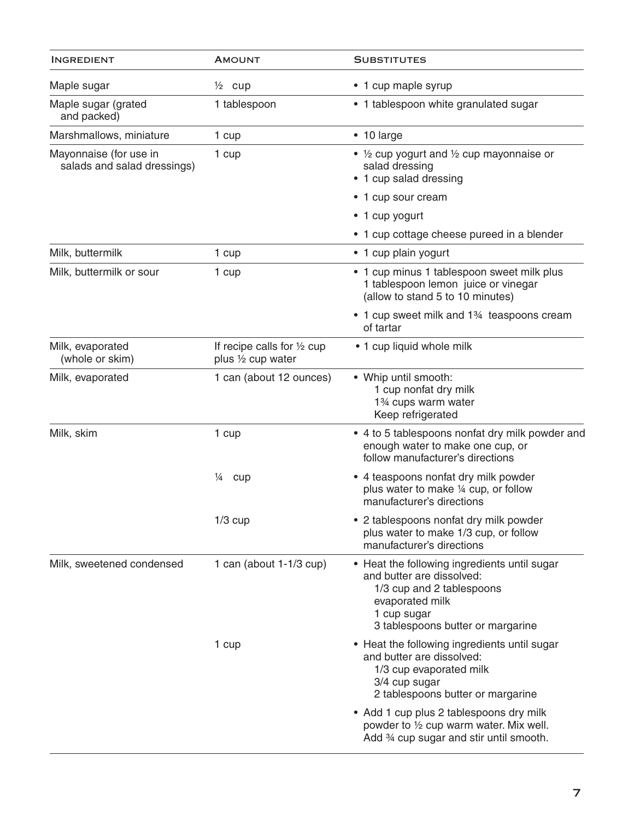| <b>INGREDIENT</b>                                     | <b>AMOUNT</b>                                     | <b>SUBSTITUTES</b>                                                                                                                                                            |
|-------------------------------------------------------|---------------------------------------------------|-------------------------------------------------------------------------------------------------------------------------------------------------------------------------------|
| Maple sugar                                           | $\frac{1}{2}$ cup                                 | • 1 cup maple syrup                                                                                                                                                           |
| Maple sugar (grated<br>and packed)                    | 1 tablespoon                                      | • 1 tablespoon white granulated sugar                                                                                                                                         |
| Marshmallows, miniature                               | 1 cup                                             | • 10 large                                                                                                                                                                    |
| Mayonnaise (for use in<br>salads and salad dressings) | 1 cup                                             | • $\frac{1}{2}$ cup yogurt and $\frac{1}{2}$ cup mayonnaise or<br>salad dressing<br>• 1 cup salad dressing                                                                    |
|                                                       |                                                   | • 1 cup sour cream                                                                                                                                                            |
|                                                       |                                                   | • 1 cup yogurt                                                                                                                                                                |
|                                                       |                                                   | • 1 cup cottage cheese pureed in a blender                                                                                                                                    |
| Milk, buttermilk                                      | 1 cup                                             | • 1 cup plain yogurt                                                                                                                                                          |
| Milk, buttermilk or sour                              | 1 cup                                             | • 1 cup minus 1 tablespoon sweet milk plus<br>1 tablespoon lemon juice or vinegar<br>(allow to stand 5 to 10 minutes)                                                         |
|                                                       |                                                   | • 1 cup sweet milk and 1 <sup>34</sup> teaspoons cream<br>of tartar                                                                                                           |
| Milk, evaporated<br>(whole or skim)                   | If recipe calls for 1/2 cup<br>plus 1/2 cup water | • 1 cup liquid whole milk                                                                                                                                                     |
| Milk, evaporated                                      | 1 can (about 12 ounces)                           | • Whip until smooth:<br>1 cup nonfat dry milk<br>1 <sup>3</sup> ⁄4 cups warm water<br>Keep refrigerated                                                                       |
| Milk, skim                                            | 1 cup                                             | • 4 to 5 tablespoons nonfat dry milk powder and<br>enough water to make one cup, or<br>follow manufacturer's directions                                                       |
|                                                       | $\frac{1}{4}$<br>cup                              | • 4 teaspoons nonfat dry milk powder<br>plus water to make 1/4 cup, or follow<br>manufacturer's directions                                                                    |
|                                                       | $1/3$ cup                                         | • 2 tablespoons nonfat dry milk powder<br>plus water to make 1/3 cup, or follow<br>manufacturer's directions                                                                  |
| Milk, sweetened condensed                             | 1 can (about 1-1/3 cup)                           | • Heat the following ingredients until sugar<br>and butter are dissolved:<br>1/3 cup and 2 tablespoons<br>evaporated milk<br>1 cup sugar<br>3 tablespoons butter or margarine |
|                                                       | 1 cup                                             | • Heat the following ingredients until sugar<br>and butter are dissolved:<br>1/3 cup evaporated milk<br>3/4 cup sugar<br>2 tablespoons butter or margarine                    |
|                                                       |                                                   | • Add 1 cup plus 2 tablespoons dry milk<br>powder to $\frac{1}{2}$ cup warm water. Mix well.<br>Add 34 cup sugar and stir until smooth.                                       |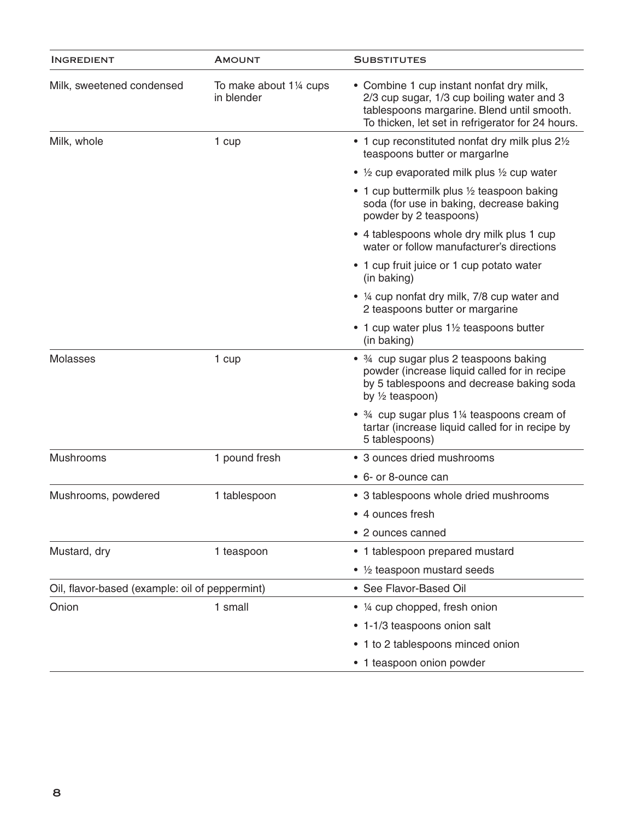| <b>INGREDIENT</b>                              | <b>AMOUNT</b>                         | <b>SUBSTITUTES</b>                                                                                                                                                                        |
|------------------------------------------------|---------------------------------------|-------------------------------------------------------------------------------------------------------------------------------------------------------------------------------------------|
| Milk, sweetened condensed                      | To make about 11/4 cups<br>in blender | • Combine 1 cup instant nonfat dry milk,<br>2/3 cup sugar, 1/3 cup boiling water and 3<br>tablespoons margarine. Blend until smooth.<br>To thicken, let set in refrigerator for 24 hours. |
| Milk, whole                                    | 1 cup                                 | • 1 cup reconstituted nonfat dry milk plus 21/2<br>teaspoons butter or margarine                                                                                                          |
|                                                |                                       | • $\frac{1}{2}$ cup evaporated milk plus $\frac{1}{2}$ cup water                                                                                                                          |
|                                                |                                       | • 1 cup buttermilk plus 1/2 teaspoon baking<br>soda (for use in baking, decrease baking<br>powder by 2 teaspoons)                                                                         |
|                                                |                                       | • 4 tablespoons whole dry milk plus 1 cup<br>water or follow manufacturer's directions                                                                                                    |
|                                                |                                       | • 1 cup fruit juice or 1 cup potato water<br>(in baking)                                                                                                                                  |
|                                                |                                       | • 1/4 cup nonfat dry milk, 7/8 cup water and<br>2 teaspoons butter or margarine                                                                                                           |
|                                                |                                       | • 1 cup water plus 1 <sup>1</sup> / <sub>2</sub> teaspoons butter<br>(in baking)                                                                                                          |
| <b>Molasses</b>                                | 1 cup                                 | • 3/4 cup sugar plus 2 teaspoons baking<br>powder (increase liquid called for in recipe<br>by 5 tablespoons and decrease baking soda<br>by $\frac{1}{2}$ teaspoon)                        |
|                                                |                                       | • 34 cup sugar plus 114 teaspoons cream of<br>tartar (increase liquid called for in recipe by<br>5 tablespoons)                                                                           |
| Mushrooms                                      | 1 pound fresh                         | • 3 ounces dried mushrooms                                                                                                                                                                |
|                                                |                                       | • 6- or 8-ounce can                                                                                                                                                                       |
| Mushrooms, powdered                            | 1 tablespoon                          | • 3 tablespoons whole dried mushrooms                                                                                                                                                     |
|                                                |                                       | • 4 ounces fresh                                                                                                                                                                          |
|                                                |                                       | • 2 ounces canned                                                                                                                                                                         |
| Mustard, dry                                   | 1 teaspoon                            | • 1 tablespoon prepared mustard                                                                                                                                                           |
|                                                |                                       | • 1/2 teaspoon mustard seeds                                                                                                                                                              |
| Oil, flavor-based (example: oil of peppermint) |                                       | • See Flavor-Based Oil                                                                                                                                                                    |
| Onion                                          | 1 small                               | • 1/4 cup chopped, fresh onion                                                                                                                                                            |
|                                                |                                       | • 1-1/3 teaspoons onion salt                                                                                                                                                              |
|                                                |                                       | • 1 to 2 tablespoons minced onion                                                                                                                                                         |
|                                                |                                       | • 1 teaspoon onion powder                                                                                                                                                                 |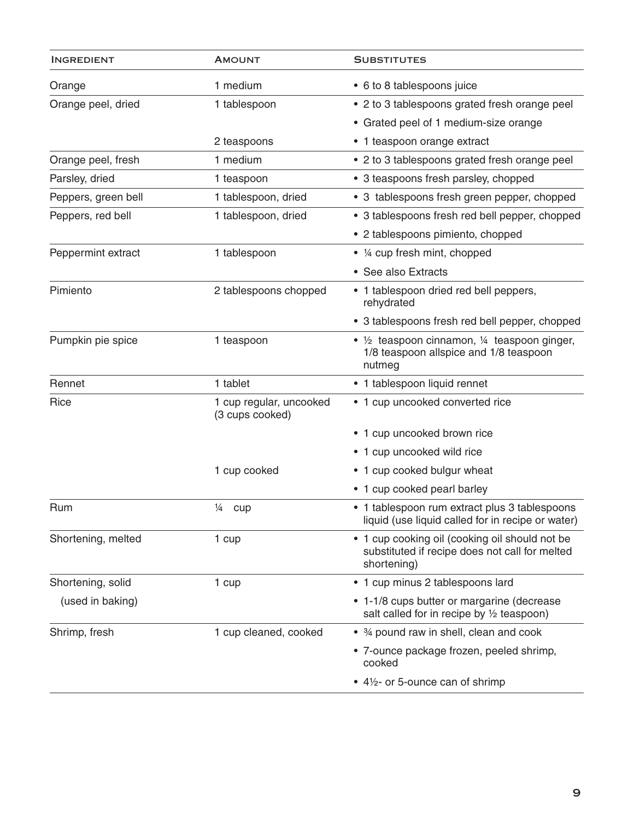| <b>INGREDIENT</b>   | <b>AMOUNT</b>                              | <b>SUBSTITUTES</b>                                                                                                    |
|---------------------|--------------------------------------------|-----------------------------------------------------------------------------------------------------------------------|
| Orange              | 1 medium                                   | • 6 to 8 tablespoons juice                                                                                            |
| Orange peel, dried  | 1 tablespoon                               | • 2 to 3 tablespoons grated fresh orange peel                                                                         |
|                     |                                            | • Grated peel of 1 medium-size orange                                                                                 |
|                     | 2 teaspoons                                | • 1 teaspoon orange extract                                                                                           |
| Orange peel, fresh  | 1 medium                                   | • 2 to 3 tablespoons grated fresh orange peel                                                                         |
| Parsley, dried      | 1 teaspoon                                 | • 3 teaspoons fresh parsley, chopped                                                                                  |
| Peppers, green bell | 1 tablespoon, dried                        | • 3 tablespoons fresh green pepper, chopped                                                                           |
| Peppers, red bell   | 1 tablespoon, dried                        | • 3 tablespoons fresh red bell pepper, chopped                                                                        |
|                     |                                            | • 2 tablespoons pimiento, chopped                                                                                     |
| Peppermint extract  | 1 tablespoon                               | • 1/4 cup fresh mint, chopped                                                                                         |
|                     |                                            | • See also Extracts                                                                                                   |
| Pimiento            | 2 tablespoons chopped                      | • 1 tablespoon dried red bell peppers,<br>rehydrated                                                                  |
|                     |                                            | • 3 tablespoons fresh red bell pepper, chopped                                                                        |
| Pumpkin pie spice   | 1 teaspoon                                 | • $\frac{1}{2}$ teaspoon cinnamon, $\frac{1}{4}$ teaspoon ginger,<br>1/8 teaspoon allspice and 1/8 teaspoon<br>nutmeg |
| Rennet              | 1 tablet                                   | • 1 tablespoon liquid rennet                                                                                          |
| Rice                | 1 cup regular, uncooked<br>(3 cups cooked) | • 1 cup uncooked converted rice                                                                                       |
|                     |                                            | • 1 cup uncooked brown rice                                                                                           |
|                     |                                            | • 1 cup uncooked wild rice                                                                                            |
|                     | 1 cup cooked                               | • 1 cup cooked bulgur wheat                                                                                           |
|                     |                                            | • 1 cup cooked pearl barley                                                                                           |
| Rum                 | $\frac{1}{4}$<br>cup                       | • 1 tablespoon rum extract plus 3 tablespoons<br>liquid (use liquid called for in recipe or water)                    |
| Shortening, melted  | 1 cup                                      | • 1 cup cooking oil (cooking oil should not be<br>substituted if recipe does not call for melted<br>shortening)       |
| Shortening, solid   | 1 cup                                      | • 1 cup minus 2 tablespoons lard                                                                                      |
| (used in baking)    |                                            | • 1-1/8 cups butter or margarine (decrease<br>salt called for in recipe by 1/2 teaspoon)                              |
| Shrimp, fresh       | 1 cup cleaned, cooked                      | • 3/4 pound raw in shell, clean and cook                                                                              |
|                     |                                            | • 7-ounce package frozen, peeled shrimp,<br>cooked                                                                    |
|                     |                                            | • 41/2- or 5-ounce can of shrimp                                                                                      |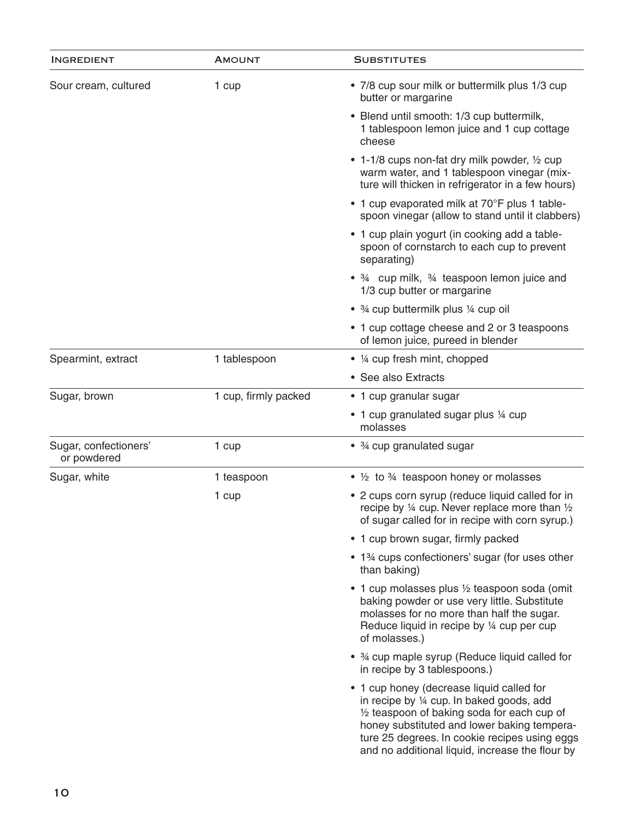| <b>INGREDIENT</b>                    | <b>AMOUNT</b>        | <b>SUBSTITUTES</b>                                                                                                                                                                                                                                                                                 |
|--------------------------------------|----------------------|----------------------------------------------------------------------------------------------------------------------------------------------------------------------------------------------------------------------------------------------------------------------------------------------------|
| Sour cream, cultured                 | 1 cup                | • 7/8 cup sour milk or buttermilk plus 1/3 cup<br>butter or margarine                                                                                                                                                                                                                              |
|                                      |                      | • Blend until smooth: 1/3 cup buttermilk,<br>1 tablespoon lemon juice and 1 cup cottage<br>cheese                                                                                                                                                                                                  |
|                                      |                      | • 1-1/8 cups non-fat dry milk powder, 1/2 cup<br>warm water, and 1 tablespoon vinegar (mix-<br>ture will thicken in refrigerator in a few hours)                                                                                                                                                   |
|                                      |                      | • 1 cup evaporated milk at 70°F plus 1 table-<br>spoon vinegar (allow to stand until it clabbers)                                                                                                                                                                                                  |
|                                      |                      | • 1 cup plain yogurt (in cooking add a table-<br>spoon of cornstarch to each cup to prevent<br>separating)                                                                                                                                                                                         |
|                                      |                      | • 3/4 cup milk, 3/4 teaspoon lemon juice and<br>1/3 cup butter or margarine                                                                                                                                                                                                                        |
|                                      |                      | • 3/4 cup buttermilk plus 1/4 cup oil                                                                                                                                                                                                                                                              |
|                                      |                      | • 1 cup cottage cheese and 2 or 3 teaspoons<br>of lemon juice, pureed in blender                                                                                                                                                                                                                   |
| Spearmint, extract                   | 1 tablespoon         | • ¼ cup fresh mint, chopped                                                                                                                                                                                                                                                                        |
|                                      |                      | • See also Extracts                                                                                                                                                                                                                                                                                |
| Sugar, brown                         | 1 cup, firmly packed | • 1 cup granular sugar                                                                                                                                                                                                                                                                             |
|                                      |                      | • 1 cup granulated sugar plus 1/4 cup<br>molasses                                                                                                                                                                                                                                                  |
| Sugar, confectioners'<br>or powdered | 1 cup                | • 3/4 cup granulated sugar                                                                                                                                                                                                                                                                         |
| Sugar, white                         | 1 teaspoon           | • 1/2 to 3/4 teaspoon honey or molasses                                                                                                                                                                                                                                                            |
|                                      | 1 cup                | • 2 cups corn syrup (reduce liquid called for in<br>recipe by $\frac{1}{4}$ cup. Never replace more than $\frac{1}{2}$<br>of sugar called for in recipe with corn syrup.)                                                                                                                          |
|                                      |                      | • 1 cup brown sugar, firmly packed                                                                                                                                                                                                                                                                 |
|                                      |                      | • 1% cups confectioners' sugar (for uses other<br>than baking)                                                                                                                                                                                                                                     |
|                                      |                      | • 1 cup molasses plus 1/2 teaspoon soda (omit<br>baking powder or use very little. Substitute<br>molasses for no more than half the sugar.<br>Reduce liquid in recipe by 1/4 cup per cup<br>of molasses.)                                                                                          |
|                                      |                      | • 34 cup maple syrup (Reduce liquid called for<br>in recipe by 3 tablespoons.)                                                                                                                                                                                                                     |
|                                      |                      | • 1 cup honey (decrease liquid called for<br>in recipe by 1/4 cup. In baked goods, add<br>$\frac{1}{2}$ teaspoon of baking soda for each cup of<br>honey substituted and lower baking tempera-<br>ture 25 degrees. In cookie recipes using eggs<br>and no additional liquid, increase the flour by |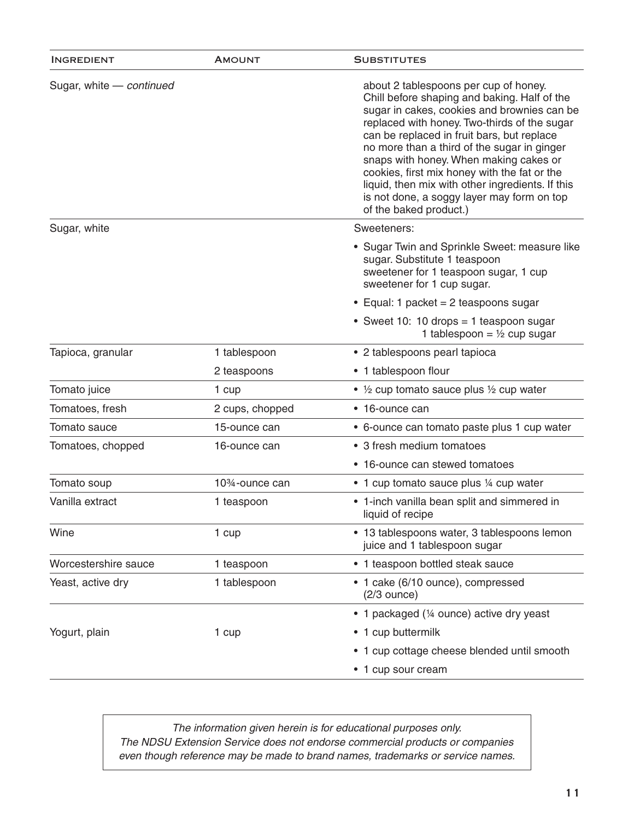| Sugar, white - continued<br>about 2 tablespoons per cup of honey.<br>Chill before shaping and baking. Half of the<br>sugar in cakes, cookies and brownies can be<br>replaced with honey. Two-thirds of the sugar<br>can be replaced in fruit bars, but replace<br>no more than a third of the sugar in ginger<br>snaps with honey. When making cakes or<br>cookies, first mix honey with the fat or the<br>liquid, then mix with other ingredients. If this<br>is not done, a soggy layer may form on top<br>of the baked product.)<br>Sweeteners:<br>Sugar, white<br>• Sugar Twin and Sprinkle Sweet: measure like<br>sugar. Substitute 1 teaspoon<br>sweetener for 1 teaspoon sugar, 1 cup<br>sweetener for 1 cup sugar.<br>• Equal: 1 packet = 2 teaspoons sugar<br>• Sweet 10: 10 drops = 1 teaspoon sugar<br>1 tablespoon = $\frac{1}{2}$ cup sugar<br>Tapioca, granular<br>1 tablespoon<br>• 2 tablespoons pearl tapioca<br>• 1 tablespoon flour<br>2 teaspoons<br>Tomato juice<br>• $\frac{1}{2}$ cup tomato sauce plus $\frac{1}{2}$ cup water<br>1 cup<br>Tomatoes, fresh<br>2 cups, chopped<br>• 16-ounce can<br>Tomato sauce<br>15-ounce can<br>• 6-ounce can tomato paste plus 1 cup water<br>• 3 fresh medium tomatoes<br>Tomatoes, chopped<br>16-ounce can<br>• 16-ounce can stewed tomatoes<br>Tomato soup<br>10 <sup>3</sup> / <sub>4</sub> -ounce can<br>• 1 cup tomato sauce plus ¼ cup water<br>Vanilla extract<br>• 1-inch vanilla bean split and simmered in<br>1 teaspoon<br>liquid of recipe<br>• 13 tablespoons water, 3 tablespoons lemon<br>Wine<br>1 cup<br>juice and 1 tablespoon sugar<br>Worcestershire sauce<br>1 teaspoon<br>• 1 teaspoon bottled steak sauce<br>Yeast, active dry<br>1 tablespoon<br>• 1 cake (6/10 ounce), compressed<br>$(2/3$ ounce)<br>• 1 packaged (1/4 ounce) active dry yeast<br>• 1 cup buttermilk<br>Yogurt, plain<br>1 cup<br>• 1 cup cottage cheese blended until smooth<br>• 1 cup sour cream | <b>INGREDIENT</b> | <b>AMOUNT</b> | <b>SUBSTITUTES</b> |
|------------------------------------------------------------------------------------------------------------------------------------------------------------------------------------------------------------------------------------------------------------------------------------------------------------------------------------------------------------------------------------------------------------------------------------------------------------------------------------------------------------------------------------------------------------------------------------------------------------------------------------------------------------------------------------------------------------------------------------------------------------------------------------------------------------------------------------------------------------------------------------------------------------------------------------------------------------------------------------------------------------------------------------------------------------------------------------------------------------------------------------------------------------------------------------------------------------------------------------------------------------------------------------------------------------------------------------------------------------------------------------------------------------------------------------------------------------------------------------------------------------------------------------------------------------------------------------------------------------------------------------------------------------------------------------------------------------------------------------------------------------------------------------------------------------------------------------------------------------------------------------------------------------------------------------------------------------|-------------------|---------------|--------------------|
|                                                                                                                                                                                                                                                                                                                                                                                                                                                                                                                                                                                                                                                                                                                                                                                                                                                                                                                                                                                                                                                                                                                                                                                                                                                                                                                                                                                                                                                                                                                                                                                                                                                                                                                                                                                                                                                                                                                                                            |                   |               |                    |
|                                                                                                                                                                                                                                                                                                                                                                                                                                                                                                                                                                                                                                                                                                                                                                                                                                                                                                                                                                                                                                                                                                                                                                                                                                                                                                                                                                                                                                                                                                                                                                                                                                                                                                                                                                                                                                                                                                                                                            |                   |               |                    |
|                                                                                                                                                                                                                                                                                                                                                                                                                                                                                                                                                                                                                                                                                                                                                                                                                                                                                                                                                                                                                                                                                                                                                                                                                                                                                                                                                                                                                                                                                                                                                                                                                                                                                                                                                                                                                                                                                                                                                            |                   |               |                    |
|                                                                                                                                                                                                                                                                                                                                                                                                                                                                                                                                                                                                                                                                                                                                                                                                                                                                                                                                                                                                                                                                                                                                                                                                                                                                                                                                                                                                                                                                                                                                                                                                                                                                                                                                                                                                                                                                                                                                                            |                   |               |                    |
|                                                                                                                                                                                                                                                                                                                                                                                                                                                                                                                                                                                                                                                                                                                                                                                                                                                                                                                                                                                                                                                                                                                                                                                                                                                                                                                                                                                                                                                                                                                                                                                                                                                                                                                                                                                                                                                                                                                                                            |                   |               |                    |
|                                                                                                                                                                                                                                                                                                                                                                                                                                                                                                                                                                                                                                                                                                                                                                                                                                                                                                                                                                                                                                                                                                                                                                                                                                                                                                                                                                                                                                                                                                                                                                                                                                                                                                                                                                                                                                                                                                                                                            |                   |               |                    |
|                                                                                                                                                                                                                                                                                                                                                                                                                                                                                                                                                                                                                                                                                                                                                                                                                                                                                                                                                                                                                                                                                                                                                                                                                                                                                                                                                                                                                                                                                                                                                                                                                                                                                                                                                                                                                                                                                                                                                            |                   |               |                    |
|                                                                                                                                                                                                                                                                                                                                                                                                                                                                                                                                                                                                                                                                                                                                                                                                                                                                                                                                                                                                                                                                                                                                                                                                                                                                                                                                                                                                                                                                                                                                                                                                                                                                                                                                                                                                                                                                                                                                                            |                   |               |                    |
|                                                                                                                                                                                                                                                                                                                                                                                                                                                                                                                                                                                                                                                                                                                                                                                                                                                                                                                                                                                                                                                                                                                                                                                                                                                                                                                                                                                                                                                                                                                                                                                                                                                                                                                                                                                                                                                                                                                                                            |                   |               |                    |
|                                                                                                                                                                                                                                                                                                                                                                                                                                                                                                                                                                                                                                                                                                                                                                                                                                                                                                                                                                                                                                                                                                                                                                                                                                                                                                                                                                                                                                                                                                                                                                                                                                                                                                                                                                                                                                                                                                                                                            |                   |               |                    |
|                                                                                                                                                                                                                                                                                                                                                                                                                                                                                                                                                                                                                                                                                                                                                                                                                                                                                                                                                                                                                                                                                                                                                                                                                                                                                                                                                                                                                                                                                                                                                                                                                                                                                                                                                                                                                                                                                                                                                            |                   |               |                    |
|                                                                                                                                                                                                                                                                                                                                                                                                                                                                                                                                                                                                                                                                                                                                                                                                                                                                                                                                                                                                                                                                                                                                                                                                                                                                                                                                                                                                                                                                                                                                                                                                                                                                                                                                                                                                                                                                                                                                                            |                   |               |                    |
|                                                                                                                                                                                                                                                                                                                                                                                                                                                                                                                                                                                                                                                                                                                                                                                                                                                                                                                                                                                                                                                                                                                                                                                                                                                                                                                                                                                                                                                                                                                                                                                                                                                                                                                                                                                                                                                                                                                                                            |                   |               |                    |
|                                                                                                                                                                                                                                                                                                                                                                                                                                                                                                                                                                                                                                                                                                                                                                                                                                                                                                                                                                                                                                                                                                                                                                                                                                                                                                                                                                                                                                                                                                                                                                                                                                                                                                                                                                                                                                                                                                                                                            |                   |               |                    |
|                                                                                                                                                                                                                                                                                                                                                                                                                                                                                                                                                                                                                                                                                                                                                                                                                                                                                                                                                                                                                                                                                                                                                                                                                                                                                                                                                                                                                                                                                                                                                                                                                                                                                                                                                                                                                                                                                                                                                            |                   |               |                    |
|                                                                                                                                                                                                                                                                                                                                                                                                                                                                                                                                                                                                                                                                                                                                                                                                                                                                                                                                                                                                                                                                                                                                                                                                                                                                                                                                                                                                                                                                                                                                                                                                                                                                                                                                                                                                                                                                                                                                                            |                   |               |                    |
|                                                                                                                                                                                                                                                                                                                                                                                                                                                                                                                                                                                                                                                                                                                                                                                                                                                                                                                                                                                                                                                                                                                                                                                                                                                                                                                                                                                                                                                                                                                                                                                                                                                                                                                                                                                                                                                                                                                                                            |                   |               |                    |
|                                                                                                                                                                                                                                                                                                                                                                                                                                                                                                                                                                                                                                                                                                                                                                                                                                                                                                                                                                                                                                                                                                                                                                                                                                                                                                                                                                                                                                                                                                                                                                                                                                                                                                                                                                                                                                                                                                                                                            |                   |               |                    |
|                                                                                                                                                                                                                                                                                                                                                                                                                                                                                                                                                                                                                                                                                                                                                                                                                                                                                                                                                                                                                                                                                                                                                                                                                                                                                                                                                                                                                                                                                                                                                                                                                                                                                                                                                                                                                                                                                                                                                            |                   |               |                    |
|                                                                                                                                                                                                                                                                                                                                                                                                                                                                                                                                                                                                                                                                                                                                                                                                                                                                                                                                                                                                                                                                                                                                                                                                                                                                                                                                                                                                                                                                                                                                                                                                                                                                                                                                                                                                                                                                                                                                                            |                   |               |                    |
|                                                                                                                                                                                                                                                                                                                                                                                                                                                                                                                                                                                                                                                                                                                                                                                                                                                                                                                                                                                                                                                                                                                                                                                                                                                                                                                                                                                                                                                                                                                                                                                                                                                                                                                                                                                                                                                                                                                                                            |                   |               |                    |

*The information given herein is for educational purposes only. The NDSU Extension Service does not endorse commercial products or companies even though reference may be made to brand names, trademarks or service names.*